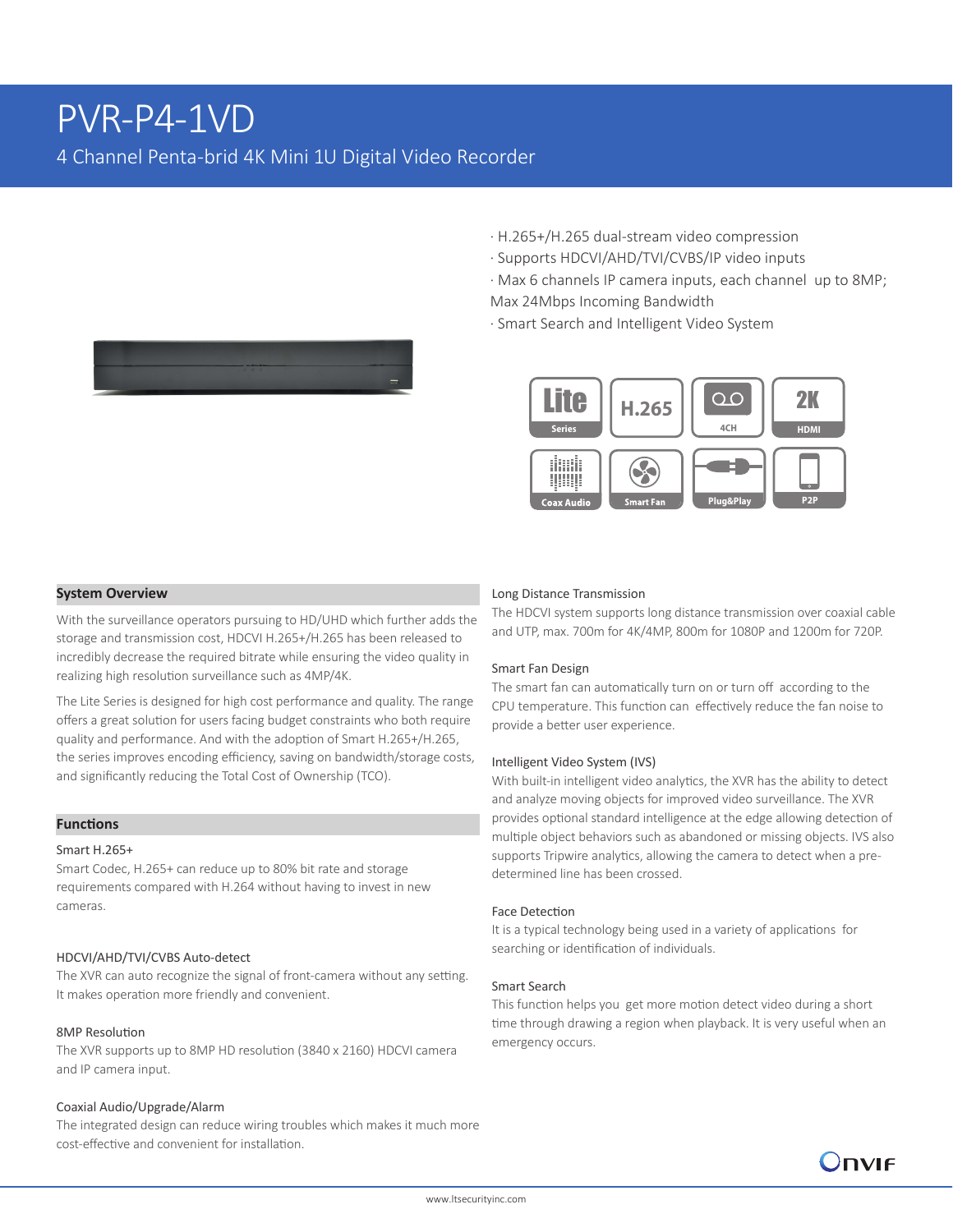# PVR-P4-1VD

4 Channel Penta-brid 4K Mini 1U Digital Video Recorder

- · H.265+/H.265 dual-stream video compression
- · Supports HDCVI/AHD/TVI/CVBS/IP video inputs

· Max 6 channels IP camera inputs, each channel up to 8MP; Max 24Mbps Incoming Bandwidth

· Smart Search and Intelligent Video System



#### **System Overview**

With the surveillance operators pursuing to HD/UHD which further adds the storage and transmission cost, HDCVI H.265+/H.265 has been released to incredibly decrease the required bitrate while ensuring the video quality in realizing high resolution surveillance such as 4MP/4K.

The Lite Series is designed for high cost performance and quality. The range offers a great solution for users facing budget constraints who both require quality and performance. And with the adoption of Smart H.265+/H.265, the series improves encoding efficiency, saving on bandwidth/storage costs, and significantly reducing the Total Cost of Ownership (TCO).

#### **Functions**

#### Smart H.265+

Smart Codec, H.265+ can reduce up to 80% bit rate and storage requirements compared with H.264 without having to invest in new cameras.

#### HDCVI/AHD/TVI/CVBS Auto-detect

The XVR can auto recognize the signal of front-camera without any setting. It makes operation more friendly and convenient.

#### 8MP Resolution

The XVR supports up to 8MP HD resolution (3840 x 2160) HDCVI camera and IP camera input.

#### Coaxial Audio/Upgrade/Alarm

The integrated design can reduce wiring troubles which makes it much more cost-effective and convenient for installation.

#### Long Distance Transmission

The HDCVI system supports long distance transmission over coaxial cable and UTP, max. 700m for 4K/4MP, 800m for 1080P and 1200m for 720P.

#### Smart Fan Design

The smart fan can automatically turn on or turn off according to the CPU temperature. This function can effectively reduce the fan noise to provide a better user experience.

#### Intelligent Video System (IVS)

With built-in intelligent video analytics, the XVR has the ability to detect and analyze moving objects for improved video surveillance. The XVR provides optional standard intelligence at the edge allowing detection of multiple object behaviors such as abandoned or missing objects. IVS also supports Tripwire analytics, allowing the camera to detect when a predetermined line has been crossed.

#### Face Detection

It is a typical technology being used in a variety of applications for searching or identification of individuals.

#### Smart Search

This function helps you get more motion detect video during a short time through drawing a region when playback. It is very useful when an emergency occurs.